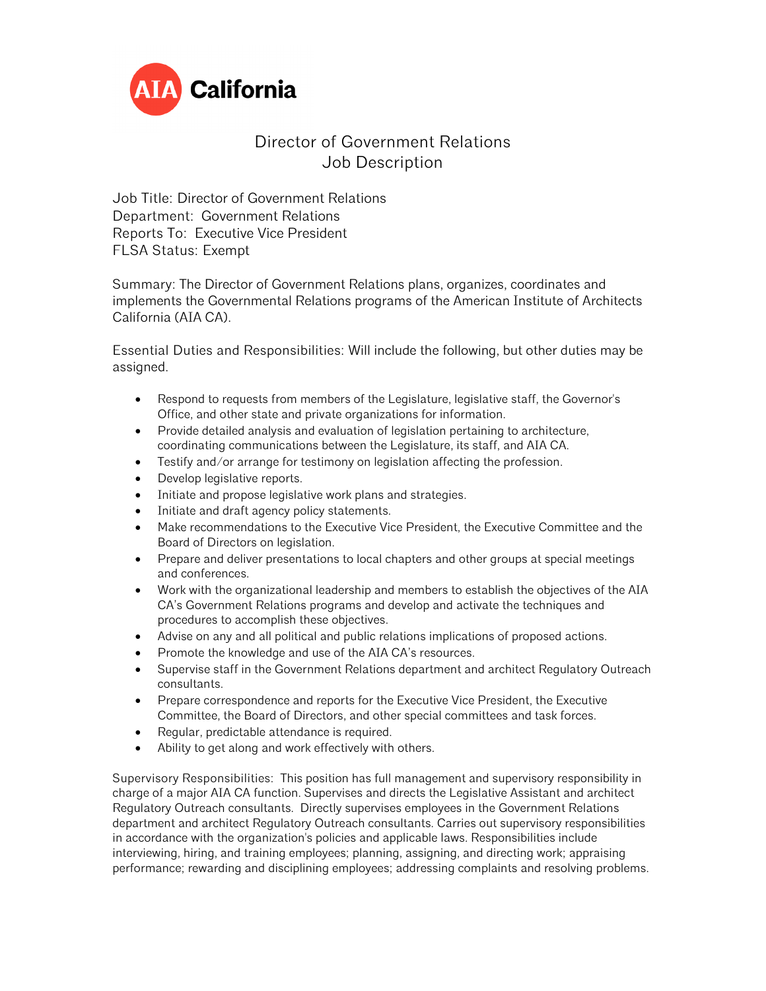

## Director of Government Relations Job Description

Job Title: Director of Government Relations Department: Government Relations Reports To: Executive Vice President FLSA Status: Exempt

Summary: The Director of Government Relations plans, organizes, coordinates and implements the Governmental Relations programs of the American Institute of Architects California (AIA CA).

Essential Duties and Responsibilities: Will include the following, but other duties may be assigned.

- Respond to requests from members of the Legislature, legislative staff, the Governor's Office, and other state and private organizations for information.
- Provide detailed analysis and evaluation of legislation pertaining to architecture, coordinating communications between the Legislature, its staff, and AIA CA.
- Testify and/or arrange for testimony on legislation affecting the profession.
- Develop legislative reports.
- Initiate and propose legislative work plans and strategies.
- Initiate and draft agency policy statements.
- Make recommendations to the Executive Vice President, the Executive Committee and the Board of Directors on legislation.
- Prepare and deliver presentations to local chapters and other groups at special meetings and conferences.
- Work with the organizational leadership and members to establish the objectives of the AIA CA's Government Relations programs and develop and activate the techniques and procedures to accomplish these objectives.
- Advise on any and all political and public relations implications of proposed actions.
- Promote the knowledge and use of the AIA CA's resources.
- Supervise staff in the Government Relations department and architect Regulatory Outreach consultants.
- Prepare correspondence and reports for the Executive Vice President, the Executive Committee, the Board of Directors, and other special committees and task forces.
- Regular, predictable attendance is required.
- Ability to get along and work effectively with others.

Supervisory Responsibilities: This position has full management and supervisory responsibility in charge of a major AIA CA function. Supervises and directs the Legislative Assistant and architect Regulatory Outreach consultants. Directly supervises employees in the Government Relations department and architect Regulatory Outreach consultants. Carries out supervisory responsibilities in accordance with the organization's policies and applicable laws. Responsibilities include interviewing, hiring, and training employees; planning, assigning, and directing work; appraising performance; rewarding and disciplining employees; addressing complaints and resolving problems.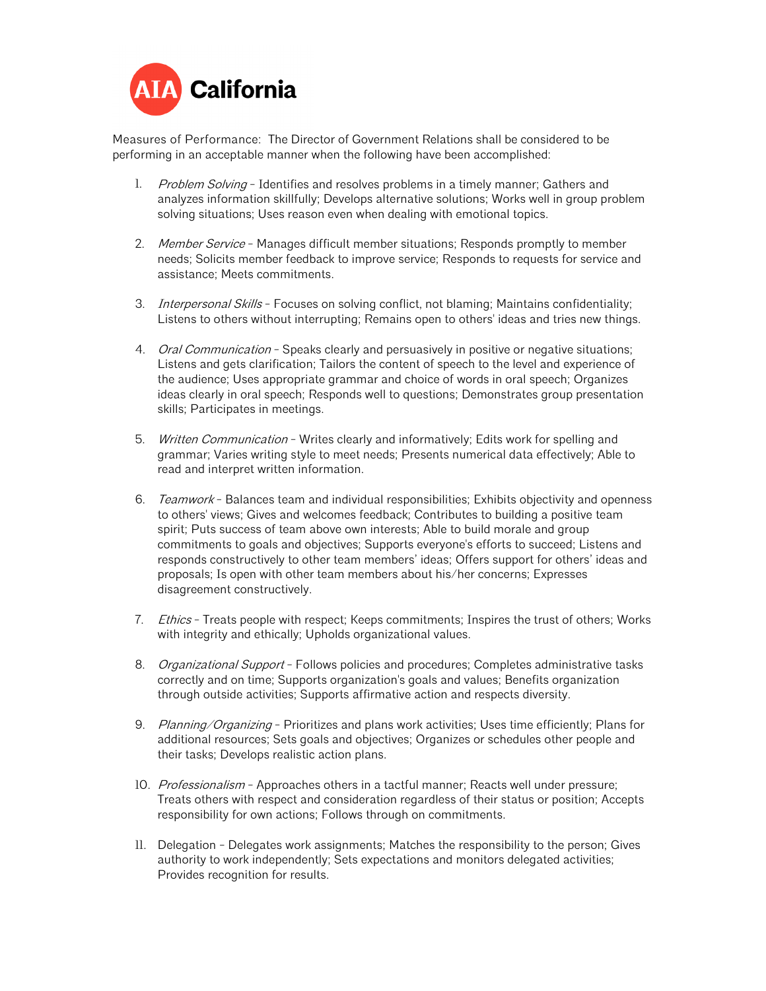

Measures of Performance: The Director of Government Relations shall be considered to be performing in an acceptable manner when the following have been accomplished:

- 1. Problem Solving Identifies and resolves problems in a timely manner; Gathers and analyzes information skillfully; Develops alternative solutions; Works well in group problem solving situations; Uses reason even when dealing with emotional topics.
- 2. Member Service Manages difficult member situations; Responds promptly to member needs; Solicits member feedback to improve service; Responds to requests for service and assistance; Meets commitments.
- 3. *Interpersonal Skills* Focuses on solving conflict, not blaming; Maintains confidentiality; Listens to others without interrupting; Remains open to others' ideas and tries new things.
- 4. *Oral Communication* Speaks clearly and persuasively in positive or negative situations; Listens and gets clarification; Tailors the content of speech to the level and experience of the audience; Uses appropriate grammar and choice of words in oral speech; Organizes ideas clearly in oral speech; Responds well to questions; Demonstrates group presentation skills; Participates in meetings.
- 5. Written Communication Writes clearly and informatively; Edits work for spelling and grammar; Varies writing style to meet needs; Presents numerical data effectively; Able to read and interpret written information.
- 6. Teamwork Balances team and individual responsibilities; Exhibits objectivity and openness to others' views; Gives and welcomes feedback; Contributes to building a positive team spirit; Puts success of team above own interests; Able to build morale and group commitments to goals and objectives; Supports everyone's efforts to succeed; Listens and responds constructively to other team members' ideas; Offers support for others' ideas and proposals; Is open with other team members about his/her concerns; Expresses disagreement constructively.
- 7. Ethics Treats people with respect; Keeps commitments; Inspires the trust of others; Works with integrity and ethically; Upholds organizational values.
- 8. Organizational Support Follows policies and procedures; Completes administrative tasks correctly and on time; Supports organization's goals and values; Benefits organization through outside activities; Supports affirmative action and respects diversity.
- 9. Planning/Organizing Prioritizes and plans work activities; Uses time efficiently; Plans for additional resources; Sets goals and objectives; Organizes or schedules other people and their tasks; Develops realistic action plans.
- 10. Professionalism Approaches others in a tactful manner; Reacts well under pressure; Treats others with respect and consideration regardless of their status or position; Accepts responsibility for own actions; Follows through on commitments.
- 11. Delegation Delegates work assignments; Matches the responsibility to the person; Gives authority to work independently; Sets expectations and monitors delegated activities; Provides recognition for results.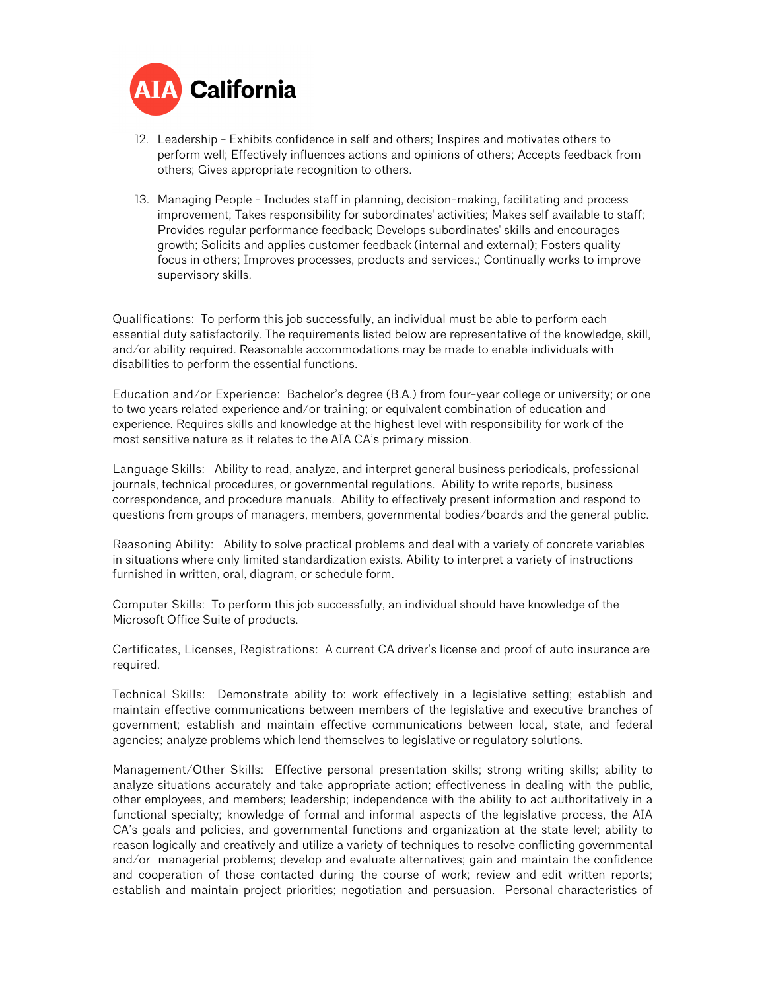

- 12. Leadership Exhibits confidence in self and others; Inspires and motivates others to perform well; Effectively influences actions and opinions of others; Accepts feedback from others; Gives appropriate recognition to others.
- 13. Managing People Includes staff in planning, decision-making, facilitating and process improvement; Takes responsibility for subordinates' activities; Makes self available to staff; Provides regular performance feedback; Develops subordinates' skills and encourages growth; Solicits and applies customer feedback (internal and external); Fosters quality focus in others; Improves processes, products and services.; Continually works to improve supervisory skills.

Qualifications: To perform this job successfully, an individual must be able to perform each essential duty satisfactorily. The requirements listed below are representative of the knowledge, skill, and/or ability required. Reasonable accommodations may be made to enable individuals with disabilities to perform the essential functions.

Education and/or Experience: Bachelor's degree (B.A.) from four-year college or university; or one to two years related experience and/or training; or equivalent combination of education and experience. Requires skills and knowledge at the highest level with responsibility for work of the most sensitive nature as it relates to the AIA CA's primary mission.

Language Skills: Ability to read, analyze, and interpret general business periodicals, professional journals, technical procedures, or governmental regulations. Ability to write reports, business correspondence, and procedure manuals. Ability to effectively present information and respond to questions from groups of managers, members, governmental bodies/boards and the general public.

Reasoning Ability: Ability to solve practical problems and deal with a variety of concrete variables in situations where only limited standardization exists. Ability to interpret a variety of instructions furnished in written, oral, diagram, or schedule form.

Computer Skills: To perform this job successfully, an individual should have knowledge of the Microsoft Office Suite of products.

Certificates, Licenses, Registrations: A current CA driver's license and proof of auto insurance are required.

Technical Skills: Demonstrate ability to: work effectively in a legislative setting; establish and maintain effective communications between members of the legislative and executive branches of government; establish and maintain effective communications between local, state, and federal agencies; analyze problems which lend themselves to legislative or regulatory solutions.

Management/Other Skills: Effective personal presentation skills; strong writing skills; ability to analyze situations accurately and take appropriate action; effectiveness in dealing with the public, other employees, and members; leadership; independence with the ability to act authoritatively in a functional specialty; knowledge of formal and informal aspects of the legislative process, the AIA CA's goals and policies, and governmental functions and organization at the state level; ability to reason logically and creatively and utilize a variety of techniques to resolve conflicting governmental and/or managerial problems; develop and evaluate alternatives; gain and maintain the confidence and cooperation of those contacted during the course of work; review and edit written reports; establish and maintain project priorities; negotiation and persuasion. Personal characteristics of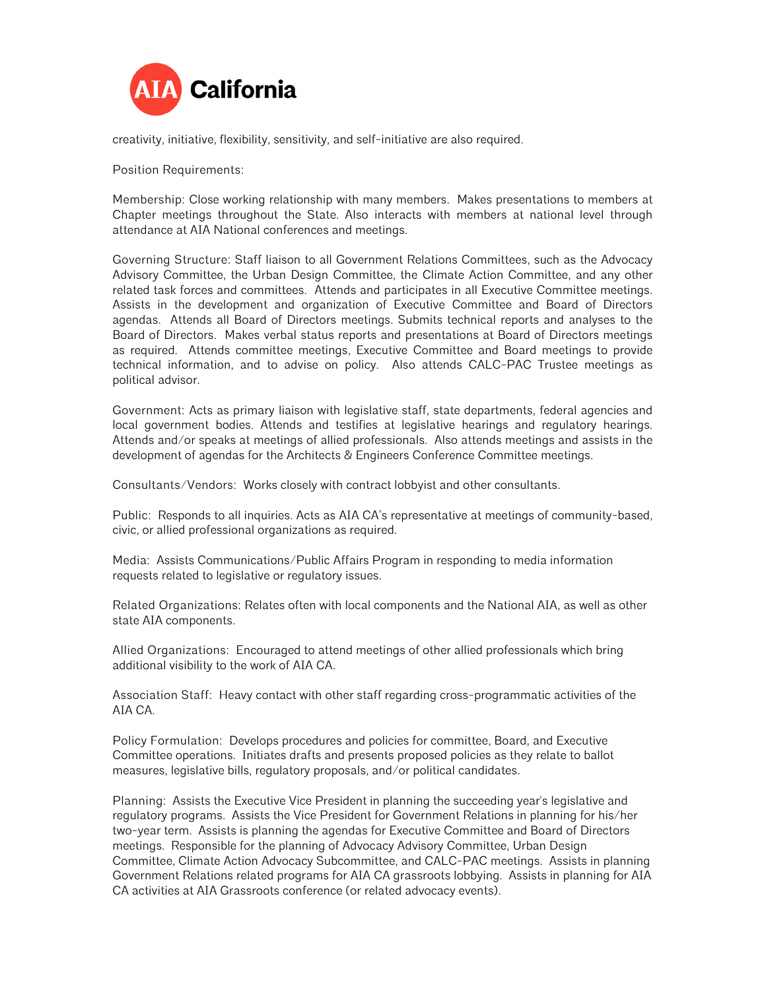

creativity, initiative, flexibility, sensitivity, and self-initiative are also required.

Position Requirements:

Membership: Close working relationship with many members. Makes presentations to members at Chapter meetings throughout the State. Also interacts with members at national level through attendance at AIA National conferences and meetings.

Governing Structure: Staff liaison to all Government Relations Committees, such as the Advocacy Advisory Committee, the Urban Design Committee, the Climate Action Committee, and any other related task forces and committees. Attends and participates in all Executive Committee meetings. Assists in the development and organization of Executive Committee and Board of Directors agendas. Attends all Board of Directors meetings. Submits technical reports and analyses to the Board of Directors. Makes verbal status reports and presentations at Board of Directors meetings as required. Attends committee meetings, Executive Committee and Board meetings to provide technical information, and to advise on policy. Also attends CALC-PAC Trustee meetings as political advisor.

Government: Acts as primary liaison with legislative staff, state departments, federal agencies and local government bodies. Attends and testifies at legislative hearings and regulatory hearings. Attends and/or speaks at meetings of allied professionals. Also attends meetings and assists in the development of agendas for the Architects & Engineers Conference Committee meetings.

Consultants/Vendors: Works closely with contract lobbyist and other consultants.

Public: Responds to all inquiries. Acts as AIA CA's representative at meetings of community-based, civic, or allied professional organizations as required.

Media: Assists Communications/Public Affairs Program in responding to media information requests related to legislative or regulatory issues.

Related Organizations: Relates often with local components and the National AIA, as well as other state AIA components.

Allied Organizations: Encouraged to attend meetings of other allied professionals which bring additional visibility to the work of AIA CA.

Association Staff: Heavy contact with other staff regarding cross-programmatic activities of the AIA CA.

Policy Formulation: Develops procedures and policies for committee, Board, and Executive Committee operations. Initiates drafts and presents proposed policies as they relate to ballot measures, legislative bills, regulatory proposals, and/or political candidates.

Planning: Assists the Executive Vice President in planning the succeeding year's legislative and regulatory programs. Assists the Vice President for Government Relations in planning for his/her two-year term. Assists is planning the agendas for Executive Committee and Board of Directors meetings. Responsible for the planning of Advocacy Advisory Committee, Urban Design Committee, Climate Action Advocacy Subcommittee, and CALC-PAC meetings. Assists in planning Government Relations related programs for AIA CA grassroots lobbying. Assists in planning for AIA CA activities at AIA Grassroots conference (or related advocacy events).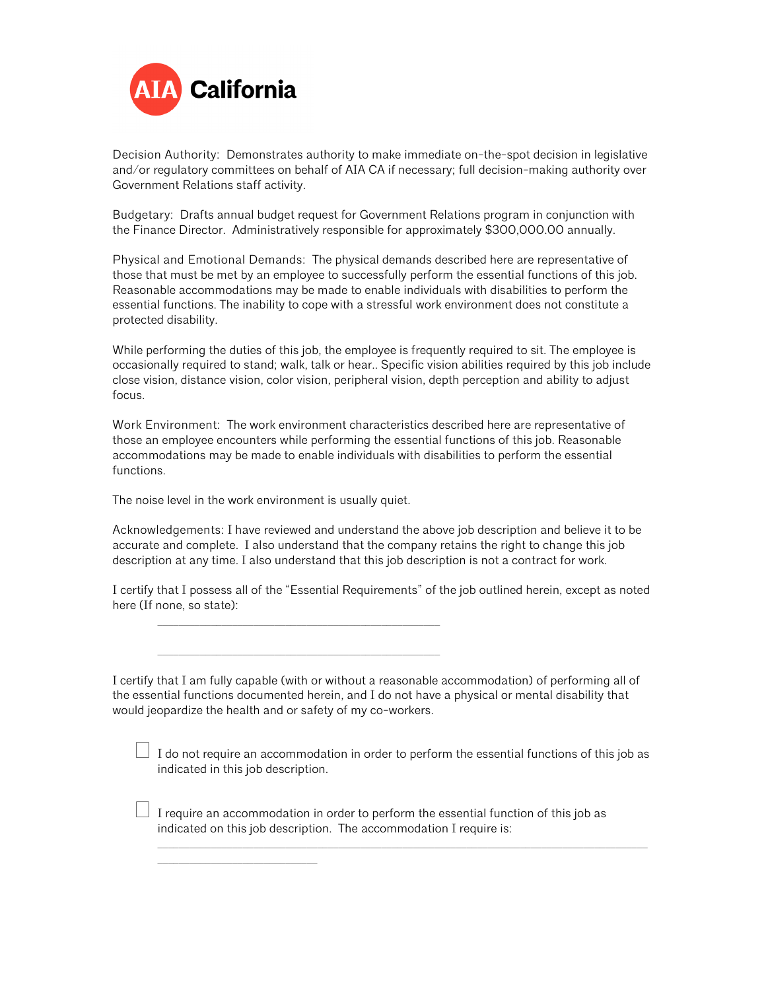

Decision Authority: Demonstrates authority to make immediate on-the-spot decision in legislative and/or regulatory committees on behalf of AIA CA if necessary; full decision-making authority over Government Relations staff activity.

Budgetary: Drafts annual budget request for Government Relations program in conjunction with the Finance Director. Administratively responsible for approximately \$300,000.00 annually.

Physical and Emotional Demands: The physical demands described here are representative of those that must be met by an employee to successfully perform the essential functions of this job. Reasonable accommodations may be made to enable individuals with disabilities to perform the essential functions. The inability to cope with a stressful work environment does not constitute a protected disability.

While performing the duties of this job, the employee is frequently required to sit. The employee is occasionally required to stand; walk, talk or hear.. Specific vision abilities required by this job include close vision, distance vision, color vision, peripheral vision, depth perception and ability to adjust focus.

Work Environment: The work environment characteristics described here are representative of those an employee encounters while performing the essential functions of this job. Reasonable accommodations may be made to enable individuals with disabilities to perform the essential functions.

The noise level in the work environment is usually quiet.

\_\_\_\_\_\_\_\_\_\_\_\_\_\_\_\_\_\_\_\_\_\_\_\_\_\_\_\_\_\_

\_\_\_\_\_\_\_\_\_\_\_\_\_\_\_\_\_\_\_\_\_\_\_\_\_\_\_\_\_\_\_\_\_\_\_\_\_\_\_\_\_\_\_\_\_\_\_\_\_\_\_\_\_

\_\_\_\_\_\_\_\_\_\_\_\_\_\_\_\_\_\_\_\_\_\_\_\_\_\_\_\_\_\_\_\_\_\_\_\_\_\_\_\_\_\_\_\_\_\_\_\_\_\_\_\_\_

Acknowledgements: I have reviewed and understand the above job description and believe it to be accurate and complete. I also understand that the company retains the right to change this job description at any time. I also understand that this job description is not a contract for work.

I certify that I possess all of the "Essential Requirements" of the job outlined herein, except as noted here (If none, so state):

I certify that I am fully capable (with or without a reasonable accommodation) of performing all of the essential functions documented herein, and I do not have a physical or mental disability that would jeopardize the health and or safety of my co-workers.

 $\Box$  I do not require an accommodation in order to perform the essential functions of this job as indicated in this job description.

 $\_$  ,  $\_$  ,  $\_$  ,  $\_$  ,  $\_$  ,  $\_$  ,  $\_$  ,  $\_$  ,  $\_$  ,  $\_$  ,  $\_$  ,  $\_$  ,  $\_$  ,  $\_$  ,  $\_$  ,  $\_$  ,  $\_$  ,  $\_$  ,  $\_$  ,  $\_$  ,  $\_$  ,  $\_$  ,  $\_$  ,  $\_$  ,  $\_$  ,  $\_$  ,  $\_$  ,  $\_$  ,  $\_$  ,  $\_$  ,  $\_$  ,  $\_$  ,  $\_$  ,  $\_$  ,  $\_$  ,  $\_$  ,  $\_$  ,

 $\Box$  I require an accommodation in order to perform the essential function of this job as indicated on this job description. The accommodation I require is: